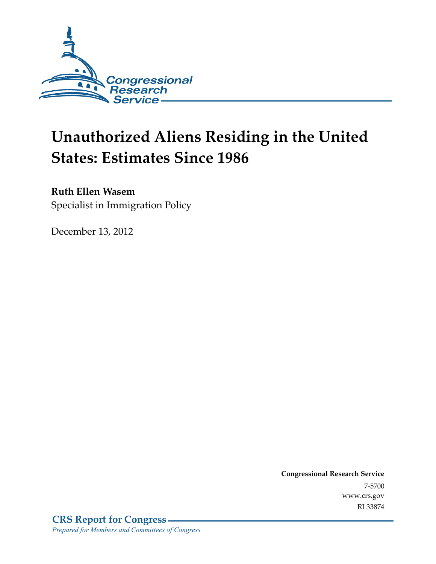

# **Unauthorized Aliens Residing in the United States: Estimates Since 1986**

#### **Ruth Ellen Wasem**

Specialist in Immigration Policy

December 13, 2012

**Congressional Research Service**  7-5700 www.crs.gov RL33874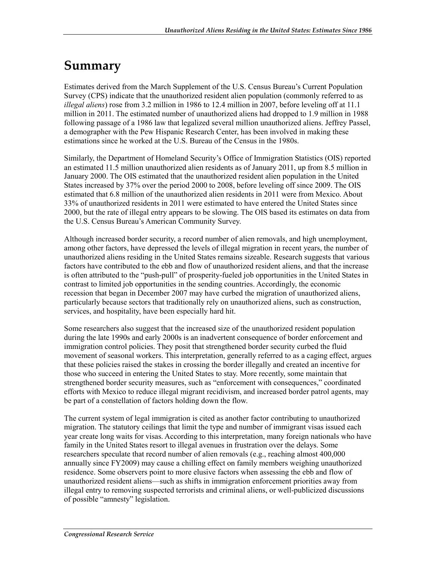## **Summary**

Estimates derived from the March Supplement of the U.S. Census Bureau's Current Population Survey (CPS) indicate that the unauthorized resident alien population (commonly referred to as *illegal aliens*) rose from 3.2 million in 1986 to 12.4 million in 2007, before leveling off at 11.1 million in 2011. The estimated number of unauthorized aliens had dropped to 1.9 million in 1988 following passage of a 1986 law that legalized several million unauthorized aliens. Jeffrey Passel, a demographer with the Pew Hispanic Research Center, has been involved in making these estimations since he worked at the U.S. Bureau of the Census in the 1980s.

Similarly, the Department of Homeland Security's Office of Immigration Statistics (OIS) reported an estimated 11.5 million unauthorized alien residents as of January 2011, up from 8.5 million in January 2000. The OIS estimated that the unauthorized resident alien population in the United States increased by 37% over the period 2000 to 2008, before leveling off since 2009. The OIS estimated that 6.8 million of the unauthorized alien residents in 2011 were from Mexico. About 33% of unauthorized residents in 2011 were estimated to have entered the United States since 2000, but the rate of illegal entry appears to be slowing. The OIS based its estimates on data from the U.S. Census Bureau's American Community Survey.

Although increased border security, a record number of alien removals, and high unemployment, among other factors, have depressed the levels of illegal migration in recent years, the number of unauthorized aliens residing in the United States remains sizeable. Research suggests that various factors have contributed to the ebb and flow of unauthorized resident aliens, and that the increase is often attributed to the "push-pull" of prosperity-fueled job opportunities in the United States in contrast to limited job opportunities in the sending countries. Accordingly, the economic recession that began in December 2007 may have curbed the migration of unauthorized aliens, particularly because sectors that traditionally rely on unauthorized aliens, such as construction, services, and hospitality, have been especially hard hit.

Some researchers also suggest that the increased size of the unauthorized resident population during the late 1990s and early 2000s is an inadvertent consequence of border enforcement and immigration control policies. They posit that strengthened border security curbed the fluid movement of seasonal workers. This interpretation, generally referred to as a caging effect, argues that these policies raised the stakes in crossing the border illegally and created an incentive for those who succeed in entering the United States to stay. More recently, some maintain that strengthened border security measures, such as "enforcement with consequences," coordinated efforts with Mexico to reduce illegal migrant recidivism, and increased border patrol agents, may be part of a constellation of factors holding down the flow.

The current system of legal immigration is cited as another factor contributing to unauthorized migration. The statutory ceilings that limit the type and number of immigrant visas issued each year create long waits for visas. According to this interpretation, many foreign nationals who have family in the United States resort to illegal avenues in frustration over the delays. Some researchers speculate that record number of alien removals (e.g., reaching almost 400,000 annually since FY2009) may cause a chilling effect on family members weighing unauthorized residence. Some observers point to more elusive factors when assessing the ebb and flow of unauthorized resident aliens—such as shifts in immigration enforcement priorities away from illegal entry to removing suspected terrorists and criminal aliens, or well-publicized discussions of possible "amnesty" legislation.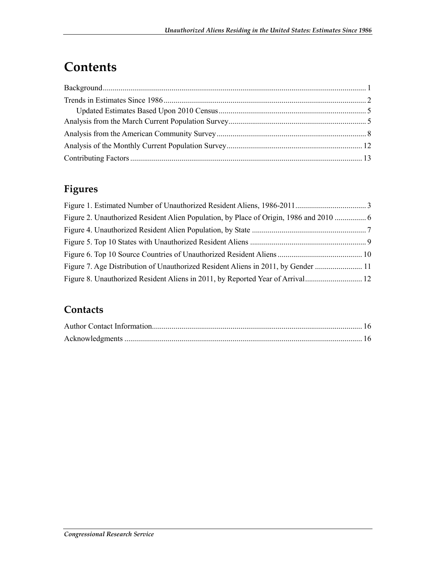## **Contents**

### **Figures**

| Figure 7. Age Distribution of Unauthorized Resident Aliens in 2011, by Gender |  |
|-------------------------------------------------------------------------------|--|
|                                                                               |  |

#### **Contacts**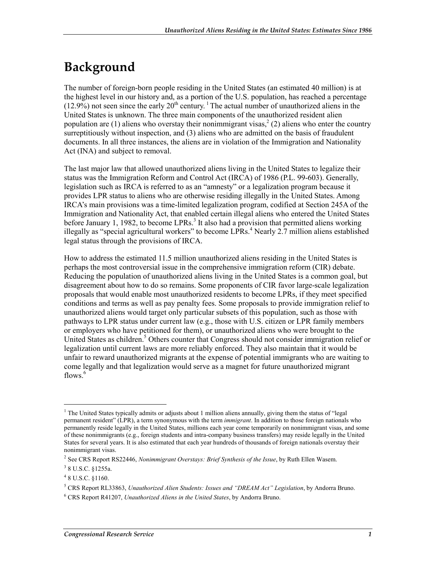## **Background**

The number of foreign-born people residing in the United States (an estimated 40 million) is at the highest level in our history and, as a portion of the U.S. population, has reached a percentage  $(12.9\%)$  not seen since the early  $20<sup>th</sup>$  century. <sup>1</sup> The actual number of unauthorized aliens in the United States is unknown. The three main components of the unauthorized resident alien population are (1) aliens who overstay their nonimmigrant visas,<sup>2</sup> (2) aliens who enter the country surreptitiously without inspection, and (3) aliens who are admitted on the basis of fraudulent documents. In all three instances, the aliens are in violation of the Immigration and Nationality Act (INA) and subject to removal.

The last major law that allowed unauthorized aliens living in the United States to legalize their status was the Immigration Reform and Control Act (IRCA) of 1986 (P.L. 99-603). Generally, legislation such as IRCA is referred to as an "amnesty" or a legalization program because it provides LPR status to aliens who are otherwise residing illegally in the United States. Among IRCA's main provisions was a time-limited legalization program, codified at Section 245A of the Immigration and Nationality Act, that enabled certain illegal aliens who entered the United States before January 1, 1982, to become LPRs.<sup>3</sup> It also had a provision that permitted aliens working illegally as "special agricultural workers" to become  $LPRs$ .<sup>4</sup> Nearly 2.7 million aliens established legal status through the provisions of IRCA.

How to address the estimated 11.5 million unauthorized aliens residing in the United States is perhaps the most controversial issue in the comprehensive immigration reform (CIR) debate. Reducing the population of unauthorized aliens living in the United States is a common goal, but disagreement about how to do so remains. Some proponents of CIR favor large-scale legalization proposals that would enable most unauthorized residents to become LPRs, if they meet specified conditions and terms as well as pay penalty fees. Some proposals to provide immigration relief to unauthorized aliens would target only particular subsets of this population, such as those with pathways to LPR status under current law (e.g., those with U.S. citizen or LPR family members or employers who have petitioned for them), or unauthorized aliens who were brought to the United States as children.<sup>5</sup> Others counter that Congress should not consider immigration relief or legalization until current laws are more reliably enforced. They also maintain that it would be unfair to reward unauthorized migrants at the expense of potential immigrants who are waiting to come legally and that legalization would serve as a magnet for future unauthorized migrant flows.<sup>6</sup>

 $\overline{a}$ 

<sup>&</sup>lt;sup>1</sup> The United States typically admits or adjusts about 1 million aliens annually, giving them the status of "legal permanent resident" (LPR), a term synonymous with the term *immigrant*. In addition to those foreign nationals who permanently reside legally in the United States, millions each year come temporarily on nonimmigrant visas, and some of these nonimmigrants (e.g., foreign students and intra-company business transfers) may reside legally in the United States for several years. It is also estimated that each year hundreds of thousands of foreign nationals overstay their nonimmigrant visas.

<sup>2</sup> See CRS Report RS22446, *Nonimmigrant Overstays: Brief Synthesis of the Issue*, by Ruth Ellen Wasem.

<sup>&</sup>lt;sup>3</sup> 8 U.S.C. §1255a.

<sup>4</sup> 8 U.S.C. §1160.

<sup>5</sup> CRS Report RL33863, *Unauthorized Alien Students: Issues and "DREAM Act" Legislation*, by Andorra Bruno.

<sup>6</sup> CRS Report R41207, *Unauthorized Aliens in the United States*, by Andorra Bruno.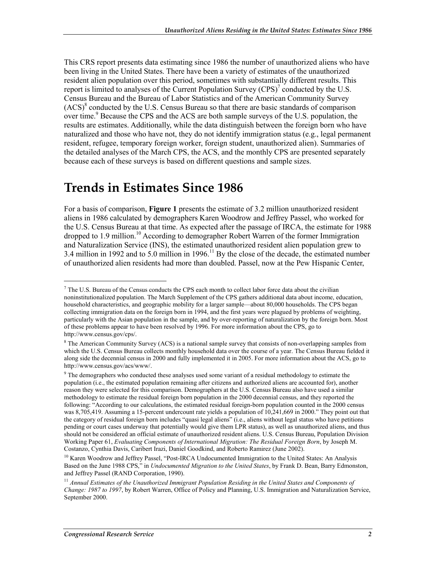This CRS report presents data estimating since 1986 the number of unauthorized aliens who have been living in the United States. There have been a variety of estimates of the unauthorized resident alien population over this period, sometimes with substantially different results. This report is limited to analyses of the Current Population Survey  $(CPS)^7$  conducted by the U.S. Census Bureau and the Bureau of Labor Statistics and of the American Community Survey (ACS)<sup>8</sup> conducted by the U.S. Census Bureau so that there are basic standards of comparison over time.<sup>9</sup> Because the CPS and the ACS are both sample surveys of the U.S. population, the results are estimates. Additionally, while the data distinguish between the foreign born who have naturalized and those who have not, they do not identify immigration status (e.g., legal permanent resident, refugee, temporary foreign worker, foreign student, unauthorized alien). Summaries of the detailed analyses of the March CPS, the ACS, and the monthly CPS are presented separately because each of these surveys is based on different questions and sample sizes.

### **Trends in Estimates Since 1986**

For a basis of comparison, **Figure 1** presents the estimate of 3.2 million unauthorized resident aliens in 1986 calculated by demographers Karen Woodrow and Jeffrey Passel, who worked for the U.S. Census Bureau at that time. As expected after the passage of IRCA, the estimate for 1988 dropped to 1.9 million.<sup>10</sup> According to demographer Robert Warren of the former Immigration and Naturalization Service (INS), the estimated unauthorized resident alien population grew to 3.4 million in 1992 and to 5.0 million in 1996.<sup>11</sup> By the close of the decade, the estimated number of unauthorized alien residents had more than doubled. Passel, now at the Pew Hispanic Center,

<sup>&</sup>lt;sup>7</sup> The U.S. Bureau of the Census conducts the CPS each month to collect labor force data about the civilian noninstitutionalized population. The March Supplement of the CPS gathers additional data about income, education, household characteristics, and geographic mobility for a larger sample—about 80,000 households. The CPS began collecting immigration data on the foreign born in 1994, and the first years were plagued by problems of weighting, particularly with the Asian population in the sample, and by over-reporting of naturalization by the foreign born. Most of these problems appear to have been resolved by 1996. For more information about the CPS, go to http://www.census.gov/cps/.

<sup>&</sup>lt;sup>8</sup> The American Community Survey (ACS) is a national sample survey that consists of non-overlapping samples from which the U.S. Census Bureau collects monthly household data over the course of a year. The Census Bureau fielded it along side the decennial census in 2000 and fully implemented it in 2005. For more information about the ACS, go to http://www.census.gov/acs/www/.

<sup>&</sup>lt;sup>9</sup> The demographers who conducted these analyses used some variant of a residual methodology to estimate the population (i.e., the estimated population remaining after citizens and authorized aliens are accounted for), another reason they were selected for this comparison. Demographers at the U.S. Census Bureau also have used a similar methodology to estimate the residual foreign born population in the 2000 decennial census, and they reported the following: "According to our calculations, the estimated residual foreign-born population counted in the 2000 census was 8,705,419. Assuming a 15-percent undercount rate yields a population of 10,241,669 in 2000." They point out that the category of residual foreign born includes "quasi legal aliens" (i.e., aliens without legal status who have petitions pending or court cases underway that potentially would give them LPR status), as well as unauthorized aliens, and thus should not be considered an official estimate of unauthorized resident aliens. U.S. Census Bureau, Population Division Working Paper 61, *Evaluating Components of International Migration: The Residual Foreign Born*, by Joseph M. Costanzo, Cynthia Davis, Caribert Irazi, Daniel Goodkind, and Roberto Ramirez (June 2002).

<sup>&</sup>lt;sup>10</sup> Karen Woodrow and Jeffrey Passel, "Post-IRCA Undocumented Immigration to the United States: An Analysis Based on the June 1988 CPS," in *Undocumented Migration to the United States*, by Frank D. Bean, Barry Edmonston, and Jeffrey Passel (RAND Corporation, 1990).

<sup>&</sup>lt;sup>11</sup> Annual Estimates of the Unauthorized Immigrant Population Residing in the United States and Components of *Change: 1987 to 1997*, by Robert Warren, Office of Policy and Planning, U.S. Immigration and Naturalization Service, September 2000.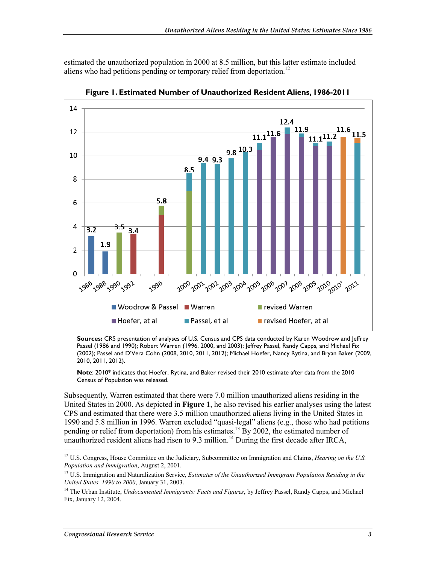estimated the unauthorized population in 2000 at 8.5 million, but this latter estimate included aliens who had petitions pending or temporary relief from deportation.<sup>12</sup>



**Figure 1. Estimated Number of Unauthorized Resident Aliens, 1986-2011** 

**Sources:** CRS presentation of analyses of U.S. Census and CPS data conducted by Karen Woodrow and Jeffrey Passel (1986 and 1990); Robert Warren (1996, 2000, and 2003); Jeffrey Passel, Randy Capps, and Michael Fix (2002); Passel and D'Vera Cohn (2008, 2010, 2011, 2012); Michael Hoefer, Nancy Rytina, and Bryan Baker (2009, 2010, 2011, 2012).

**Note**: 2010\* indicates that Hoefer, Rytina, and Baker revised their 2010 estimate after data from the 2010 Census of Population was released.

Subsequently, Warren estimated that there were 7.0 million unauthorized aliens residing in the United States in 2000. As depicted in **Figure 1**, he also revised his earlier analyses using the latest CPS and estimated that there were 3.5 million unauthorized aliens living in the United States in 1990 and 5.8 million in 1996. Warren excluded "quasi-legal" aliens (e.g., those who had petitions pending or relief from deportation) from his estimates.<sup>13</sup> By 2002, the estimated number of unauthorized resident aliens had risen to 9.3 million.<sup>14</sup> During the first decade after IRCA,

<sup>&</sup>lt;sup>12</sup> U.S. Congress, House Committee on the Judiciary, Subcommittee on Immigration and Claims, *Hearing on the U.S. Population and Immigration*, August 2, 2001.

<sup>13</sup> U.S. Immigration and Naturalization Service, *Estimates of the Unauthorized Immigrant Population Residing in the United States, 1990 to 2000*, January 31, 2003.

<sup>&</sup>lt;sup>14</sup> The Urban Institute, *Undocumented Immigrants: Facts and Figures*, by Jeffrey Passel, Randy Capps, and Michael Fix, January 12, 2004.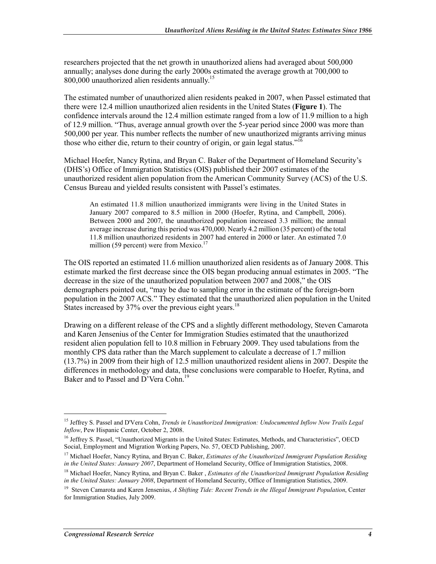researchers projected that the net growth in unauthorized aliens had averaged about 500,000 annually; analyses done during the early 2000s estimated the average growth at 700,000 to 800,000 unauthorized alien residents annually.<sup>15</sup>

The estimated number of unauthorized alien residents peaked in 2007, when Passel estimated that there were 12.4 million unauthorized alien residents in the United States (**Figure 1**). The confidence intervals around the 12.4 million estimate ranged from a low of 11.9 million to a high of 12.9 million. "Thus, average annual growth over the 5-year period since 2000 was more than 500,000 per year. This number reflects the number of new unauthorized migrants arriving minus those who either die, return to their country of origin, or gain legal status."<sup>16</sup>

Michael Hoefer, Nancy Rytina, and Bryan C. Baker of the Department of Homeland Security's (DHS's) Office of Immigration Statistics (OIS) published their 2007 estimates of the unauthorized resident alien population from the American Community Survey (ACS) of the U.S. Census Bureau and yielded results consistent with Passel's estimates.

An estimated 11.8 million unauthorized immigrants were living in the United States in January 2007 compared to 8.5 million in 2000 (Hoefer, Rytina, and Campbell, 2006). Between 2000 and 2007, the unauthorized population increased 3.3 million; the annual average increase during this period was 470,000. Nearly 4.2 million (35 percent) of the total 11.8 million unauthorized residents in 2007 had entered in 2000 or later. An estimated 7.0 million (59 percent) were from Mexico.<sup>17</sup>

The OIS reported an estimated 11.6 million unauthorized alien residents as of January 2008. This estimate marked the first decrease since the OIS began producing annual estimates in 2005. "The decrease in the size of the unauthorized population between 2007 and 2008," the OIS demographers pointed out, "may be due to sampling error in the estimate of the foreign-born population in the 2007 ACS." They estimated that the unauthorized alien population in the United States increased by 37% over the previous eight years.<sup>18</sup>

Drawing on a different release of the CPS and a slightly different methodology, Steven Camarota and Karen Jensenius of the Center for Immigration Studies estimated that the unauthorized resident alien population fell to 10.8 million in February 2009. They used tabulations from the monthly CPS data rather than the March supplement to calculate a decrease of 1.7 million (13.7%) in 2009 from their high of 12.5 million unauthorized resident aliens in 2007. Despite the differences in methodology and data, these conclusions were comparable to Hoefer, Rytina, and Baker and to Passel and D'Vera Cohn.<sup>19</sup>

<sup>15</sup> Jeffrey S. Passel and D'Vera Cohn, *Trends in Unauthorized Immigration: Undocumented Inflow Now Trails Legal Inflow*, Pew Hispanic Center, October 2, 2008.

<sup>&</sup>lt;sup>16</sup> Jeffrey S. Passel, "Unauthorized Migrants in the United States: Estimates, Methods, and Characteristics", OECD Social, Employment and Migration Working Papers, No. 57, OECD Publishing, 2007.

<sup>17</sup> Michael Hoefer, Nancy Rytina, and Bryan C. Baker, *Estimates of the Unauthorized Immigrant Population Residing in the United States: January 2007*, Department of Homeland Security, Office of Immigration Statistics, 2008.

<sup>18</sup> Michael Hoefer, Nancy Rytina, and Bryan C. Baker , *Estimates of the Unauthorized Immigrant Population Residing in the United States: January 2008*, Department of Homeland Security, Office of Immigration Statistics, 2009.

<sup>19</sup> Steven Camarota and Karen Jensenius, *A Shifting Tide: Recent Trends in the Illegal Immigrant Population*, Center for Immigration Studies, July 2009.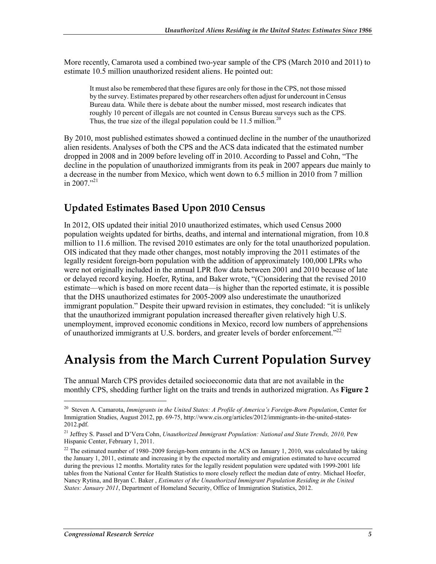More recently, Camarota used a combined two-year sample of the CPS (March 2010 and 2011) to estimate 10.5 million unauthorized resident aliens. He pointed out:

It must also be remembered that these figures are only for those in the CPS, not those missed by the survey. Estimates prepared by other researchers often adjust for undercount in Census Bureau data. While there is debate about the number missed, most research indicates that roughly 10 percent of illegals are not counted in Census Bureau surveys such as the CPS. Thus, the true size of the illegal population could be  $11.5$  million.<sup>20</sup>

By 2010, most published estimates showed a continued decline in the number of the unauthorized alien residents. Analyses of both the CPS and the ACS data indicated that the estimated number dropped in 2008 and in 2009 before leveling off in 2010. According to Passel and Cohn, "The decline in the population of unauthorized immigrants from its peak in 2007 appears due mainly to a decrease in the number from Mexico, which went down to 6.5 million in 2010 from 7 million in 2007 $^{321}$ 

#### **Updated Estimates Based Upon 2010 Census**

In 2012, OIS updated their initial 2010 unauthorized estimates, which used Census 2000 population weights updated for births, deaths, and internal and international migration, from 10.8 million to 11.6 million. The revised 2010 estimates are only for the total unauthorized population. OIS indicated that they made other changes, most notably improving the 2011 estimates of the legally resident foreign-born population with the addition of approximately 100,000 LPRs who were not originally included in the annual LPR flow data between 2001 and 2010 because of late or delayed record keying. Hoefer, Rytina, and Baker wrote, "(C)onsidering that the revised 2010 estimate—which is based on more recent data—is higher than the reported estimate, it is possible that the DHS unauthorized estimates for 2005-2009 also underestimate the unauthorized immigrant population." Despite their upward revision in estimates, they concluded: "it is unlikely that the unauthorized immigrant population increased thereafter given relatively high U.S. unemployment, improved economic conditions in Mexico, record low numbers of apprehensions of unauthorized immigrants at U.S. borders, and greater levels of border enforcement."22

### **Analysis from the March Current Population Survey**

The annual March CPS provides detailed socioeconomic data that are not available in the monthly CPS, shedding further light on the traits and trends in authorized migration. As **Figure 2**

<sup>20</sup> Steven A. Camarota, *Immigrants in the United States: A Profile of America's Foreign-Born Population*, Center for Immigration Studies, August 2012, pp. 69-75, http://www.cis.org/articles/2012/immigrants-in-the-united-states-2012.pdf.

<sup>&</sup>lt;sup>21</sup> Jeffrey S. Passel and D'Vera Cohn, *Unauthorized Immigrant Population: National and State Trends, 2010, Pew* Hispanic Center, February 1, 2011.

 $22$  The estimated number of 1980–2009 foreign-born entrants in the ACS on January 1, 2010, was calculated by taking the January 1, 2011, estimate and increasing it by the expected mortality and emigration estimated to have occurred during the previous 12 months. Mortality rates for the legally resident population were updated with 1999-2001 life tables from the National Center for Health Statistics to more closely reflect the median date of entry. Michael Hoefer, Nancy Rytina, and Bryan C. Baker , *Estimates of the Unauthorized Immigrant Population Residing in the United States: January 2011*, Department of Homeland Security, Office of Immigration Statistics, 2012.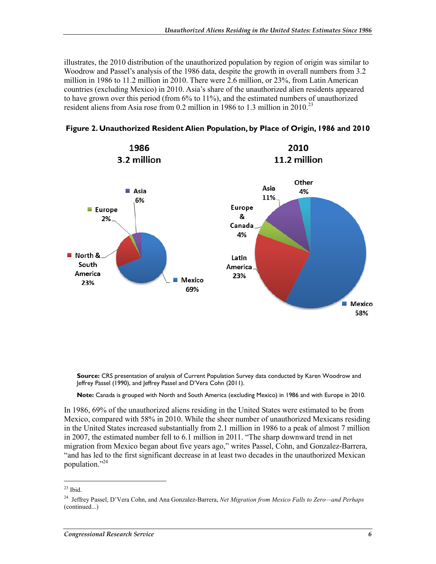illustrates, the 2010 distribution of the unauthorized population by region of origin was similar to Woodrow and Passel's analysis of the 1986 data, despite the growth in overall numbers from 3.2 million in 1986 to 11.2 million in 2010. There were 2.6 million, or 23%, from Latin American countries (excluding Mexico) in 2010. Asia's share of the unauthorized alien residents appeared to have grown over this period (from 6% to 11%), and the estimated numbers of unauthorized resident aliens from Asia rose from 0.2 million in 1986 to 1.3 million in 2010.<sup>23</sup>





**Source:** CRS presentation of analysis of Current Population Survey data conducted by Karen Woodrow and Jeffrey Passel (1990), and Jeffrey Passel and D'Vera Cohn (2011).

**Note:** Canada is grouped with North and South America (excluding Mexico) in 1986 and with Europe in 2010.

In 1986, 69% of the unauthorized aliens residing in the United States were estimated to be from Mexico, compared with 58% in 2010. While the sheer number of unauthorized Mexicans residing in the United States increased substantially from 2.1 million in 1986 to a peak of almost 7 million in 2007, the estimated number fell to 6.1 million in 2011. "The sharp downward trend in net migration from Mexico began about five years ago," writes Passel, Cohn, and Gonzalez-Barrera, "and has led to the first significant decrease in at least two decades in the unauthorized Mexican population."24

 $23$  Ibid.

<sup>24</sup> Jeffrey Passel, D'Vera Cohn, and Ana Gonzalez-Barrera, *Net Migration from Mexico Falls to Zero—and Perhaps*  (continued...)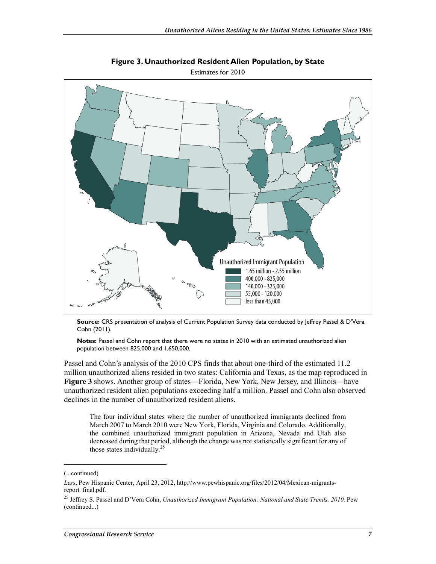

**Figure 3. Unauthorized Resident Alien Population, by State**  Estimates for 2010

**Source:** CRS presentation of analysis of Current Population Survey data conducted by Jeffrey Passel & D'Vera Cohn (2011).

**Notes:** Passel and Cohn report that there were no states in 2010 with an estimated unauthorized alien population between 825,000 and 1,650,000.

Passel and Cohn's analysis of the 2010 CPS finds that about one-third of the estimated 11.2 million unauthorized aliens resided in two states: California and Texas, as the map reproduced in **Figure 3** shows. Another group of states—Florida, New York, New Jersey, and Illinois—have unauthorized resident alien populations exceeding half a million. Passel and Cohn also observed declines in the number of unauthorized resident aliens.

The four individual states where the number of unauthorized immigrants declined from March 2007 to March 2010 were New York, Florida, Virginia and Colorado. Additionally, the combined unauthorized immigrant population in Arizona, Nevada and Utah also decreased during that period, although the change was not statistically significant for any of those states individually. $25$ 

<sup>(...</sup>continued)

*Less*, Pew Hispanic Center, April 23, 2012, http://www.pewhispanic.org/files/2012/04/Mexican-migrantsreport\_final.pdf.

<sup>&</sup>lt;sup>25</sup> Jeffrey S. Passel and D'Vera Cohn, *Unauthorized Immigrant Population: National and State Trends, 2010, Pew* (continued...)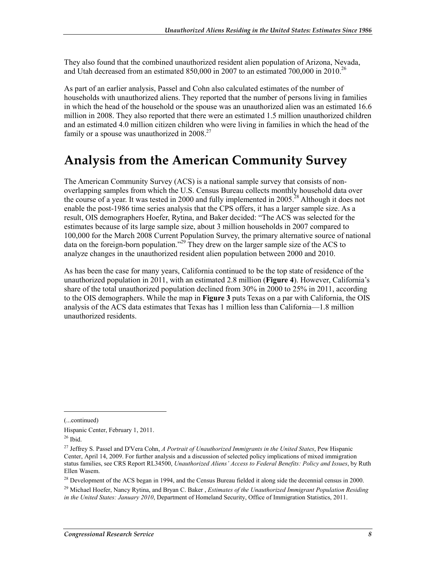They also found that the combined unauthorized resident alien population of Arizona, Nevada, and Utah decreased from an estimated 850,000 in 2007 to an estimated 700,000 in 2010.<sup>26</sup>

As part of an earlier analysis, Passel and Cohn also calculated estimates of the number of households with unauthorized aliens. They reported that the number of persons living in families in which the head of the household or the spouse was an unauthorized alien was an estimated 16.6 million in 2008. They also reported that there were an estimated 1.5 million unauthorized children and an estimated 4.0 million citizen children who were living in families in which the head of the family or a spouse was unauthorized in  $2008.<sup>27</sup>$ 

## **Analysis from the American Community Survey**

The American Community Survey (ACS) is a national sample survey that consists of nonoverlapping samples from which the U.S. Census Bureau collects monthly household data over the course of a year. It was tested in 2000 and fully implemented in  $2005$ <sup>28</sup> Although it does not enable the post-1986 time series analysis that the CPS offers, it has a larger sample size. As a result, OIS demographers Hoefer, Rytina, and Baker decided: "The ACS was selected for the estimates because of its large sample size, about 3 million households in 2007 compared to 100,000 for the March 2008 Current Population Survey, the primary alternative source of national data on the foreign-born population."29 They drew on the larger sample size of the ACS to analyze changes in the unauthorized resident alien population between 2000 and 2010.

As has been the case for many years, California continued to be the top state of residence of the unauthorized population in 2011, with an estimated 2.8 million (**Figure 4**). However, California's share of the total unauthorized population declined from 30% in 2000 to 25% in 2011, according to the OIS demographers. While the map in **Figure 3** puts Texas on a par with California, the OIS analysis of the ACS data estimates that Texas has 1 million less than California—1.8 million unauthorized residents.

(...continued)

Hispanic Center, February 1, 2011.

 $26$  Ibid.

<sup>27</sup> Jeffrey S. Passel and D'Vera Cohn, *A Portrait of Unauthorized Immigrants in the United States*, Pew Hispanic Center, April 14, 2009. For further analysis and a discussion of selected policy implications of mixed immigration status families, see CRS Report RL34500, *Unauthorized Aliens' Access to Federal Benefits: Policy and Issues*, by Ruth Ellen Wasem.

<sup>&</sup>lt;sup>28</sup> Development of the ACS began in 1994, and the Census Bureau fielded it along side the decennial census in 2000.

<sup>29</sup> Michael Hoefer, Nancy Rytina, and Bryan C. Baker , *Estimates of the Unauthorized Immigrant Population Residing in the United States: January 2010*, Department of Homeland Security, Office of Immigration Statistics, 2011.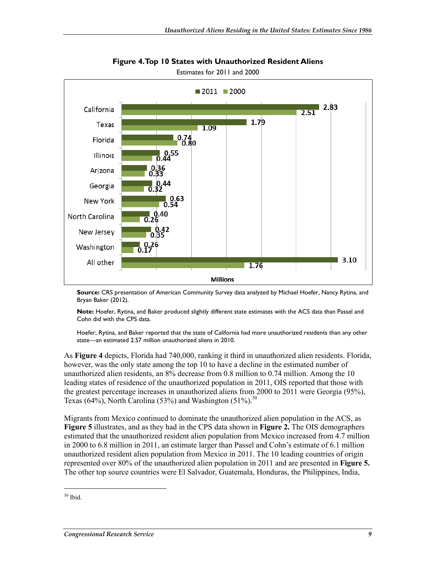

**Figure 4. Top 10 States with Unauthorized Resident Aliens** 

**Source:** CRS presentation of American Community Survey data analyzed by Michael Hoefer, Nancy Rytina, and Bryan Baker (2012).

**Note:** Hoefer, Rytina, and Baker produced slightly different state estimates with the ACS data than Passel and Cohn did with the CPS data.

Hoefer, Rytina, and Baker reported that the state of California had more unauthorized residents than any other state—an estimated 2.57 million unauthorized aliens in 2010.

As **Figure 4** depicts, Florida had 740,000, ranking it third in unauthorized alien residents. Florida, however, was the only state among the top 10 to have a decline in the estimated number of unauthorized alien residents, an 8% decrease from 0.8 million to 0.74 million. Among the 10 leading states of residence of the unauthorized population in 2011, OIS reported that those with the greatest percentage increases in unauthorized aliens from 2000 to 2011 were Georgia (95%), Texas (64%), North Carolina (53%) and Washington (51%).<sup>30</sup>

Migrants from Mexico continued to dominate the unauthorized alien population in the ACS, as **Figure 5** illustrates, and as they had in the CPS data shown in **Figure 2.** The OIS demographers estimated that the unauthorized resident alien population from Mexico increased from 4.7 million in 2000 to 6.8 million in 2011, an estimate larger than Passel and Cohn's estimate of 6.1 million unauthorized resident alien population from Mexico in 2011. The 10 leading countries of origin represented over 80% of the unauthorized alien population in 2011 and are presented in **Figure 5.** The other top source countries were El Salvador, Guatemala, Honduras, the Philippines, India,

 $30$  Ibid.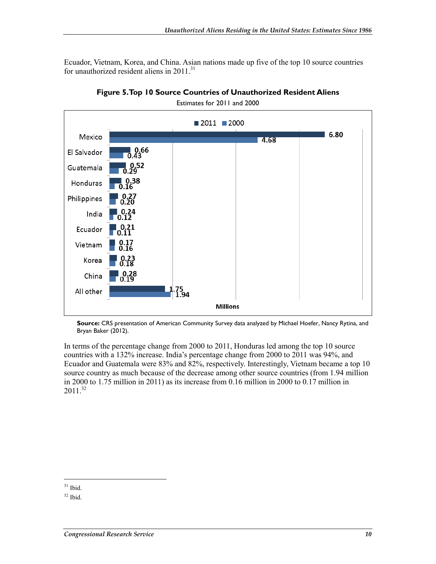Ecuador, Vietnam, Korea, and China. Asian nations made up five of the top 10 source countries for unauthorized resident aliens in  $2011$ .<sup>31</sup>



**Figure 5. Top 10 Source Countries of Unauthorized Resident Aliens** 

Estimates for 2011 and 2000

**Source:** CRS presentation of American Community Survey data analyzed by Michael Hoefer, Nancy Rytina, and Bryan Baker (2012).

In terms of the percentage change from 2000 to 2011, Honduras led among the top 10 source countries with a 132% increase. India's percentage change from 2000 to 2011 was 94%, and Ecuador and Guatemala were 83% and 82%, respectively. Interestingly, Vietnam became a top 10 source country as much because of the decrease among other source countries (from 1.94 million in 2000 to 1.75 million in 2011) as its increase from 0.16 million in 2000 to 0.17 million in  $2011^{32}$ 

 $31$  Ibid.

 $32$  Ibid.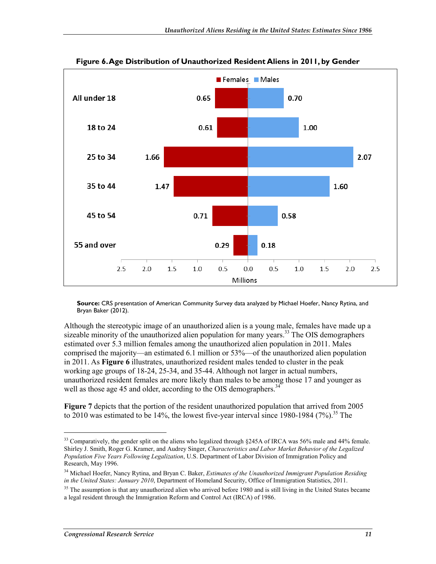

#### **Figure 6. Age Distribution of Unauthorized Resident Aliens in 2011, by Gender**

**Source:** CRS presentation of American Community Survey data analyzed by Michael Hoefer, Nancy Rytina, and Bryan Baker (2012).

Although the stereotypic image of an unauthorized alien is a young male, females have made up a sizeable minority of the unauthorized alien population for many years.<sup>33</sup> The OIS demographers estimated over 5.3 million females among the unauthorized alien population in 2011. Males comprised the majority—an estimated 6.1 million or 53%—of the unauthorized alien population in 2011. As **Figure 6** illustrates, unauthorized resident males tended to cluster in the peak working age groups of 18-24, 25-34, and 35-44. Although not larger in actual numbers, unauthorized resident females are more likely than males to be among those 17 and younger as well as those age 45 and older, according to the OIS demographers.<sup>34</sup>

**Figure 7** depicts that the portion of the resident unauthorized population that arrived from 2005 to 2010 was estimated to be 14%, the lowest five-year interval since 1980-1984 (7%).<sup>35</sup> The

<sup>&</sup>lt;sup>33</sup> Comparatively, the gender split on the aliens who legalized through §245A of IRCA was 56% male and 44% female. Shirley J. Smith, Roger G. Kramer, and Audrey Singer, *Characteristics and Labor Market Behavior of the Legalized Population Five Years Following Legalization*, U.S. Department of Labor Division of Immigration Policy and Research, May 1996.

<sup>&</sup>lt;sup>34</sup> Michael Hoefer, Nancy Rytina, and Bryan C. Baker, *Estimates of the Unauthorized Immigrant Population Residing in the United States: January 2010*, Department of Homeland Security, Office of Immigration Statistics, 2011.

<sup>&</sup>lt;sup>35</sup> The assumption is that any unauthorized alien who arrived before 1980 and is still living in the United States became a legal resident through the Immigration Reform and Control Act (IRCA) of 1986.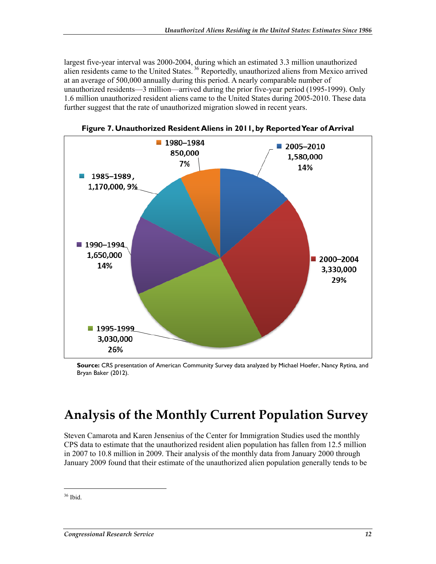largest five-year interval was 2000-2004, during which an estimated 3.3 million unauthorized alien residents came to the United States. 36 Reportedly, unauthorized aliens from Mexico arrived at an average of 500,000 annually during this period. A nearly comparable number of unauthorized residents—3 million—arrived during the prior five-year period (1995-1999). Only 1.6 million unauthorized resident aliens came to the United States during 2005-2010. These data further suggest that the rate of unauthorized migration slowed in recent years.



**Figure 7. Unauthorized Resident Aliens in 2011, by Reported Year of Arrival** 

**Source:** CRS presentation of American Community Survey data analyzed by Michael Hoefer, Nancy Rytina, and Bryan Baker (2012).

## **Analysis of the Monthly Current Population Survey**

Steven Camarota and Karen Jensenius of the Center for Immigration Studies used the monthly CPS data to estimate that the unauthorized resident alien population has fallen from 12.5 million in 2007 to 10.8 million in 2009. Their analysis of the monthly data from January 2000 through January 2009 found that their estimate of the unauthorized alien population generally tends to be

 $36$  Ibid.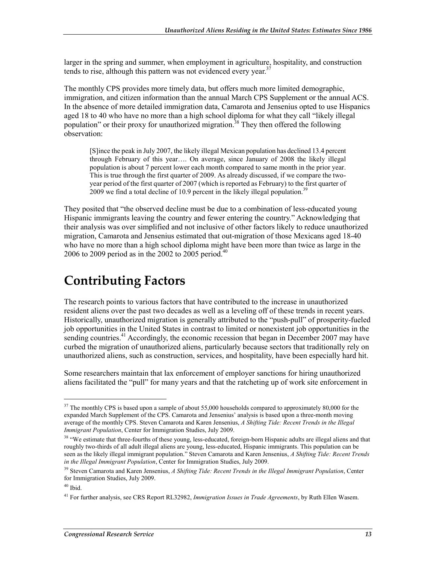larger in the spring and summer, when employment in agriculture, hospitality, and construction tends to rise, although this pattern was not evidenced every year.<sup>37</sup>

The monthly CPS provides more timely data, but offers much more limited demographic, immigration, and citizen information than the annual March CPS Supplement or the annual ACS. In the absence of more detailed immigration data, Camarota and Jensenius opted to use Hispanics aged 18 to 40 who have no more than a high school diploma for what they call "likely illegal population" or their proxy for unauthorized migration.<sup>38</sup> They then offered the following observation:

[S]ince the peak in July 2007, the likely illegal Mexican population has declined 13.4 percent through February of this year…. On average, since January of 2008 the likely illegal population is about 7 percent lower each month compared to same month in the prior year. This is true through the first quarter of 2009. As already discussed, if we compare the twoyear period of the first quarter of 2007 (which is reported as February) to the first quarter of 2009 we find a total decline of 10.9 percent in the likely illegal population.<sup>3</sup>

They posited that "the observed decline must be due to a combination of less-educated young Hispanic immigrants leaving the country and fewer entering the country." Acknowledging that their analysis was over simplified and not inclusive of other factors likely to reduce unauthorized migration, Camarota and Jensenius estimated that out-migration of those Mexicans aged 18-40 who have no more than a high school diploma might have been more than twice as large in the 2006 to 2009 period as in the 2002 to 2005 period.<sup>40</sup>

## **Contributing Factors**

The research points to various factors that have contributed to the increase in unauthorized resident aliens over the past two decades as well as a leveling off of these trends in recent years. Historically, unauthorized migration is generally attributed to the "push-pull" of prosperity-fueled job opportunities in the United States in contrast to limited or nonexistent job opportunities in the sending countries.<sup>41</sup> Accordingly, the economic recession that began in December 2007 may have curbed the migration of unauthorized aliens, particularly because sectors that traditionally rely on unauthorized aliens, such as construction, services, and hospitality, have been especially hard hit.

Some researchers maintain that lax enforcement of employer sanctions for hiring unauthorized aliens facilitated the "pull" for many years and that the ratcheting up of work site enforcement in

<sup>&</sup>lt;sup>37</sup> The monthly CPS is based upon a sample of about 55,000 households compared to approximately 80,000 for the expanded March Supplement of the CPS. Camarota and Jensenius' analysis is based upon a three-month moving average of the monthly CPS. Steven Camarota and Karen Jensenius, *A Shifting Tide: Recent Trends in the Illegal Immigrant Population*, Center for Immigration Studies, July 2009.

<sup>&</sup>lt;sup>38</sup> "We estimate that three-fourths of these young, less-educated, foreign-born Hispanic adults are illegal aliens and that roughly two-thirds of all adult illegal aliens are young, less-educated, Hispanic immigrants. This population can be seen as the likely illegal immigrant population." Steven Camarota and Karen Jensenius, *A Shifting Tide: Recent Trends in the Illegal Immigrant Population*, Center for Immigration Studies, July 2009.

<sup>39</sup> Steven Camarota and Karen Jensenius, *A Shifting Tide: Recent Trends in the Illegal Immigrant Population*, Center for Immigration Studies, July 2009.

 $40$  Ibid.

<sup>41</sup> For further analysis, see CRS Report RL32982, *Immigration Issues in Trade Agreements*, by Ruth Ellen Wasem.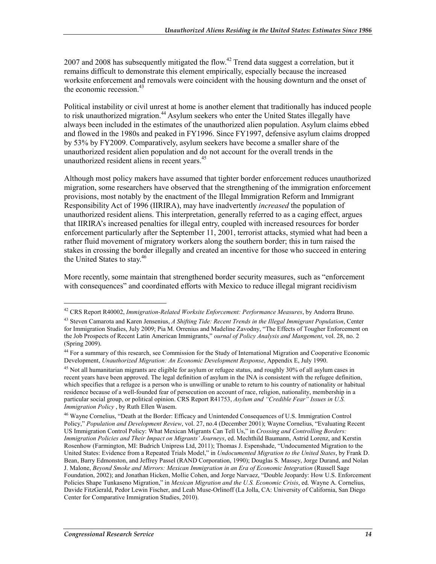2007 and 2008 has subsequently mitigated the flow.<sup>42</sup> Trend data suggest a correlation, but it remains difficult to demonstrate this element empirically, especially because the increased worksite enforcement and removals were coincident with the housing downturn and the onset of the economic recession. $43$ 

Political instability or civil unrest at home is another element that traditionally has induced people to risk unauthorized migration.<sup>44</sup> Asylum seekers who enter the United States illegally have always been included in the estimates of the unauthorized alien population. Asylum claims ebbed and flowed in the 1980s and peaked in FY1996. Since FY1997, defensive asylum claims dropped by 53% by FY2009. Comparatively, asylum seekers have become a smaller share of the unauthorized resident alien population and do not account for the overall trends in the unauthorized resident aliens in recent years.<sup>45</sup>

Although most policy makers have assumed that tighter border enforcement reduces unauthorized migration, some researchers have observed that the strengthening of the immigration enforcement provisions, most notably by the enactment of the Illegal Immigration Reform and Immigrant Responsibility Act of 1996 (IIRIRA), may have inadvertently *increased* the population of unauthorized resident aliens. This interpretation, generally referred to as a caging effect, argues that IIRIRA's increased penalties for illegal entry, coupled with increased resources for border enforcement particularly after the September 11, 2001, terrorist attacks, stymied what had been a rather fluid movement of migratory workers along the southern border; this in turn raised the stakes in crossing the border illegally and created an incentive for those who succeed in entering the United States to stay.<sup>46</sup>

More recently, some maintain that strengthened border security measures, such as "enforcement with consequences" and coordinated efforts with Mexico to reduce illegal migrant recidivism

<sup>42</sup> CRS Report R40002, *Immigration-Related Worksite Enforcement: Performance Measures*, by Andorra Bruno.

<sup>43</sup> Steven Camarota and Karen Jensenius, *A Shifting Tide: Recent Trends in the Illegal Immigrant Population*, Center for Immigration Studies, July 2009; Pia M. Orrenius and Madeline Zavodny, "The Effects of Tougher Enforcement on the Job Prospects of Recent Latin American Immigrants," *ournal of Policy Analysis and Mangement*, vol. 28, no. 2 (Spring 2009).

<sup>44</sup> For a summary of this research, see Commission for the Study of International Migration and Cooperative Economic Development, *Unauthorized Migration: An Economic Development Response*, Appendix E, July 1990.

<sup>&</sup>lt;sup>45</sup> Not all humanitarian migrants are eligible for asylum or refugee status, and roughly 30% of all asylum cases in recent years have been approved. The legal definition of asylum in the INA is consistent with the refugee definition, which specifies that a refugee is a person who is unwilling or unable to return to his country of nationality or habitual residence because of a well-founded fear of persecution on account of race, religion, nationality, membership in a particular social group, or political opinion. CRS Report R41753, *Asylum and "Credible Fear" Issues in U.S. Immigration Policy* , by Ruth Ellen Wasem.

<sup>46</sup> Wayne Cornelius, "Death at the Border: Efficacy and Unintended Consequences of U.S. Immigration Control Policy," *Population and Development Review*, vol. 27, no.4 (December 2001); Wayne Cornelius, "Evaluating Recent US Immigration Control Policy: What Mexican Migrants Can Tell Us," in *Crossing and Controlling Borders: Immigration Policies and Their Impact on Migrants' Journeys*, ed. Mechthild Baumann, Astrid Lorenz, and Kerstin Rosenhow (Farmington, MI: Budrich Unipress Ltd, 2011); Thomas J. Espenshade, "Undocumented Migration to the United States: Evidence from a Repeated Trials Model," in *Undocumented Migration to the United States*, by Frank D. Bean, Barry Edmonston, and Jeffrey Passel (RAND Corporation, 1990); Douglas S. Massey, Jorge Durand, and Nolan J. Malone, *Beyond Smoke and Mirrors: Mexican Immigration in an Era of Economic Integration* (Russell Sage Foundation, 2002); and Jonathan Hicken, Mollie Cohen, and Jorge Narvaez, "Double Jeopardy: How U.S. Enforcement Policies Shape Tunkaseno Migration," in *Mexican Migration and the U.S. Economic Crisis*, ed. Wayne A. Cornelius, Davide FitzGerald, Pedor Lewin Fischer, and Leah Muse-Orlinoff (La Jolla, CA: University of California, San Diego Center for Comparative Immigration Studies, 2010).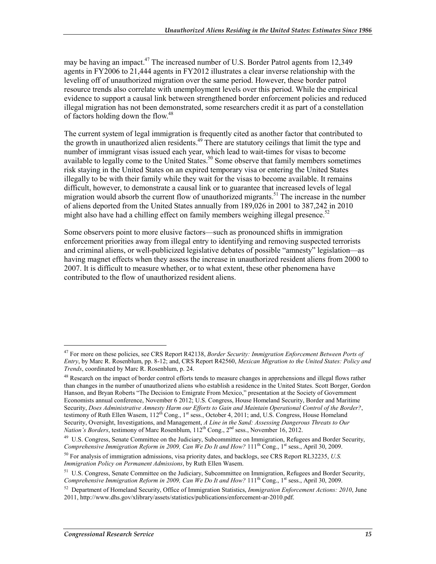may be having an impact.<sup>47</sup> The increased number of U.S. Border Patrol agents from 12,349 agents in FY2006 to 21,444 agents in FY2012 illustrates a clear inverse relationship with the leveling off of unauthorized migration over the same period. However, these border patrol resource trends also correlate with unemployment levels over this period. While the empirical evidence to support a causal link between strengthened border enforcement policies and reduced illegal migration has not been demonstrated, some researchers credit it as part of a constellation of factors holding down the flow.<sup>48</sup>

The current system of legal immigration is frequently cited as another factor that contributed to the growth in unauthorized alien residents.<sup>49</sup> There are statutory ceilings that limit the type and number of immigrant visas issued each year, which lead to wait-times for visas to become available to legally come to the United States.<sup>50</sup> Some observe that family members sometimes risk staying in the United States on an expired temporary visa or entering the United States illegally to be with their family while they wait for the visas to become available. It remains difficult, however, to demonstrate a causal link or to guarantee that increased levels of legal migration would absorb the current flow of unauthorized migrants.<sup>51</sup> The increase in the number of aliens deported from the United States annually from 189,026 in 2001 to 387,242 in 2010 might also have had a chilling effect on family members weighing illegal presence.<sup>52</sup>

Some observers point to more elusive factors—such as pronounced shifts in immigration enforcement priorities away from illegal entry to identifying and removing suspected terrorists and criminal aliens, or well-publicized legislative debates of possible "amnesty" legislation—as having magnet effects when they assess the increase in unauthorized resident aliens from 2000 to 2007. It is difficult to measure whether, or to what extent, these other phenomena have contributed to the flow of unauthorized resident aliens.

 $\overline{a}$ 

<sup>47</sup> For more on these policies, see CRS Report R42138, *Border Security: Immigration Enforcement Between Ports of Entry*, by Marc R. Rosenblum, pp. 8-12; and, CRS Report R42560, *Mexican Migration to the United States: Policy and Trends*, coordinated by Marc R. Rosenblum, p. 24.

<sup>&</sup>lt;sup>48</sup> Research on the impact of border control efforts tends to measure changes in apprehensions and illegal flows rather than changes in the number of unauthorized aliens who establish a residence in the United States. Scott Borger, Gordon Hanson, and Bryan Roberts "The Decision to Emigrate From Mexico," presentation at the Society of Government Economists annual conference, November 6 2012; U.S. Congress, House Homeland Security, Border and Maritime Security, *Does Administrative Amnesty Harm our Efforts to Gain and Maintain Operational Control of the Border?*, testimony of Ruth Ellen Wasem,  $112^{th}$  Cong.,  $1^{st}$  sess., October 4, 2011; and, U.S. Congress, House Homeland Security, Oversight, Investigations, and Management, *A Line in the Sand: Assessing Dangerous Threats to Our Nation's Borders*, testimony of Marc Rosenblum, 112<sup>th</sup> Cong., 2<sup>nd</sup> sess., November 16, 2012.

<sup>&</sup>lt;sup>49</sup> U.S. Congress, Senate Committee on the Judiciary, Subcommittee on Immigration, Refugees and Border Security, *Comprehensive Immigration Reform in 2009, Can We Do It and How?* 111<sup>th</sup> Cong., 1<sup>st</sup> sess., April 30, 2009.

<sup>50</sup> For analysis of immigration admissions, visa priority dates, and backlogs, see CRS Report RL32235, *U.S. Immigration Policy on Permanent Admissions*, by Ruth Ellen Wasem.

<sup>&</sup>lt;sup>51</sup> U.S. Congress, Senate Committee on the Judiciary, Subcommittee on Immigration, Refugees and Border Security, *Comprehensive Immigration Reform in 2009, Can We Do It and How?*  $111<sup>th</sup> Cong., 1<sup>st</sup> sess., April 30, 2009.$ 

<sup>52</sup> Department of Homeland Security, Office of Immigration Statistics, *Immigration Enforcement Actions: 2010*, June 2011, http://www.dhs.gov/xlibrary/assets/statistics/publications/enforcement-ar-2010.pdf.